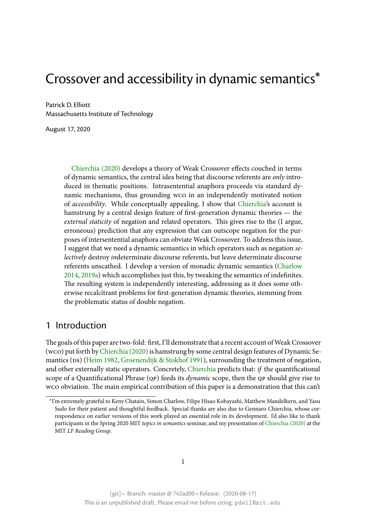# Crossover and accessibility in dynamic semantics\*

Patrick D. Elliott Massachusetts Institute of Technology

August 17, 2020

Chierchia (2020) develops a theory of Weak Crossover effects couched in terms of dynamic semantics, the central idea being that discourse referents are *only* introduced in thematic positions. Intrasentential anaphora proceeds via standard dyna[mic mechanisms](#page-28-0), thus grounding wco in an independently motivated notion of *accessibility*. While conceptually appealing, I show that Chierchia's account is hamstrung by a central design feature of first-generation dynamic theories — the *external staticity* of negation and related operators. This gives rise to the (I argue, erroneous) prediction that any expression that can outscop[e negation](#page-28-0) for the purposes of intersentential anaphora can obviate Weak Crossover. To address this issue, I suggest that we need a dynamic semantics in which operators such as negation *selectively* destroy *in*determinate discourse referents, but leave determinate discourse referents unscathed. I develop a version of monadic dynamic semantics (Charlow 2014, 2019a) which accomplishes just this, by tweaking the semantics of indefinites. The resulting system is independently interesting, addressing as it does some otherwise recalcitrant problems for first-generation dynamic theories, stemm[ing from](#page-28-1) [the p](#page-28-1)[roblem](#page-28-2)atic status of double negation.

# 1 Introduction

The goals of this paper are two-fold: first, I'll demonstrate that a recent account of Weak Crossover (wco) put forth by Chierchia  $(2020)$  is hamstrung by some central design features of Dynamic Semantics (ps) (Heim 1982, Groenendijk & Stokhof 1991), surrounding the treatment of negation, and other externally static operators. Concretely, Chierchia predicts that: *if* the quantificational scope of a Quanti[ficational Phrase \(](#page-28-0)qp) feeds its *dynamic* scope, then the qp should give rise to wco obviatio[n. The main](#page-28-3) [empirical contribution of thi](#page-28-4)s paper is a demonstration that this can't

<sup>\*</sup>I'm extremely grateful to Keny Chatain, Simon Charlow, [Filipe Hisao](#page-28-0) Kobayashi, Matthew Mandelkern, and Yasu Sudo for their patient and thoughtful feedback. Special thanks are also due to Gennaro Chierchia, whose correspondence on earlier versions of this work played an essential role in its development. I'd also like to thank participants in the Spring 2020 MIT *topics in semantics* seminar, and my presentation of Chierchia (2020) at the MIT *LF Reading Group*.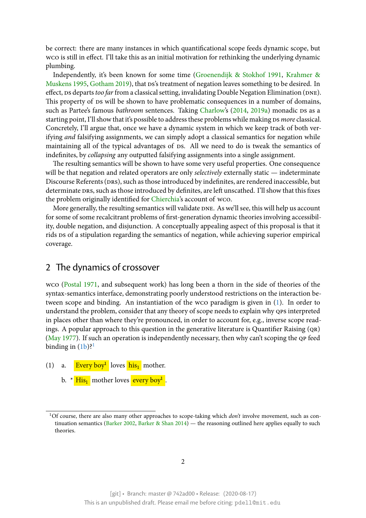be correct: there are many instances in which quantificational scope feeds dynamic scope, but wco is still in effect. I'll take this as an initial motivation for rethinking the underlying dynamic plumbing.

Independently, it's been known for some time (Groenendijk & Stokhof 1991, Krahmer & Muskens 1995, Gotham 2019), that ps's treatment of negation leaves something to be desired. In effect, ps departs *too far* from a classical setting, invalidating Double Negation Elimination (DNE). This property of ps will be shown to have problem[atic consequences in a numbe](#page-28-4)r [of domains,](#page-28-5) [such as Partee](#page-28-5)'s famous *bathroom* sentences. Taking Charlow's (2014, 2019a) monadic Ds as a starting point, [I'll show that it'](#page-28-6)s possible to address these problems while making ds *more* classical. Concretely, I'll argue that, once we have a dynamic system in which we keep track of both verifying *and* falsifying assignments, we can simply ado[pt a classi](#page-28-2)ca[l sem](#page-28-1)[antics f](#page-28-2)or negation while maintaining all of the typical advantages of DS. All we need to do is tweak the semantics of indefinites, by *collapsing* any outputted falsifying assignments into a single assignment.

The resulting semantics will be shown to have some very useful properties. One consequence will be that negation and related operators are only *selectively* externally static — indeterminate Discourse Referents (DRS), such as those introduced by indefinites, are rendered inaccessible, but determinate DRS, such as those introduced by definites, are left unscathed. I'll show that this fixes the problem originally identified for Chierchia's account of wco.

More generally, the resulting semantics will validate DNE. As we'll see, this will help us account for some of some recalcitrant problems of first-generation dynamic theories involving accessibility, double negation, and disjunctio[n. A concep](#page-28-0)tually appealing aspect of this proposal is that it rids ps of a stipulation regarding the semantics of negation, while achieving superior empirical coverage.

# 2 The dynamics of crossover

<span id="page-1-0"></span>wco (Postal 1971, and subsequent work) has long been a thorn in the side of theories of the syntax-semantics interface, demonstrating poorly understood restrictions on the interaction between scope and binding. An instantiation of the wco paradigm is given in (1). In order to under[stand the pro](#page-28-7)blem, consider that any theory of scope needs to explain why QPS interpreted in places other than where they're pronounced, in order to account for, e.g., inverse scope readings. A popular approach to this question in the generative literature is Quanti[fier](#page-1-0) Raising (qr) (May 1977). If such an operation is independently necessary, then why can't scoping the qp feed binding in  $(1b)$ ?<sup>1</sup>

- [\(1\) a.](#page-28-8) Every boy<sup>1</sup> loves his<sub>1</sub> mother.
	- b. \* <mark>[His](#page-1-0)<sub>1</sub> [m](#page-1-1)other loves <mark>every boy<sup>1</sup></mark>.</mark>

<span id="page-1-1"></span><sup>&</sup>lt;sup>1</sup>Of course, there are also many other approaches to scope-taking which *don't* involve movement, such as continuation semantics (Barker 2002, Barker & Shan  $2014$ ) — the reasoning outlined here applies equally to such theories.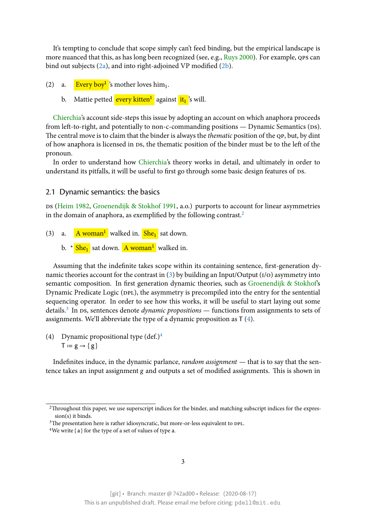It's tempting to conclude that scope simply can't feed binding, but the empirical landscape is more nuanced that this, as has long been recognized (see, e.g., Ruys 2000). For example, QPS can bind out subjects (2a), and into right-adjoined VP modified (2b).

- (2) a. **Every boy<sup>1</sup>**'s mother loves him<sub>1</sub>.
	- b. Mattie p[ette](#page-1-0)d <mark>every kitten $^1$ </mark> against <mark>it<sub>1</sub></mark> 's will.

Chierchia's account side-steps this issue by adopting an account on which anaphora proceeds from left-to-right, and potentially to non-c-commanding positions — Dynamic Semantics ( $\alpha$ s). The central move is to claim that the binder is always the *thematic* position of the qp, but, by dint of [how anap](#page-28-0)hora is licensed in ds, the thematic position of the binder must be to the left of the pronoun.

In order to understand how Chierchia's theory works in detail, and ultimately in order to understand its pitfalls, it will be useful to first go through some basic design features of Ds.

2.1 Dynamic semantics: th[e basics](#page-28-0)

Ds (Heim 1982, Groenendijk & Stokhof 1991, a.o.) purports to account for linear asymmetries in the domain of anaphora, as exemplified by the following contrast.<sup>2</sup>

- <span id="page-2-0"></span>(3) a. <mark>[A wo](#page-28-3)man<sup>1</sup></mark> [walked in.](#page-28-4) <mark>She<sub>1</sub></mark> sat down.
	- b.  $\star$  <mark>She<sub>1</sub></mark> sat down. <mark>A woman<sup>1</sup></mark> walked in.

Assuming that the indefinite takes scope within its containing sentence, first-generation dynamic theories account for the contrast in  $(3)$  by building an Input/Output  $(1/\sigma)$  asymmetry into semantic composition. In first generation dynamic theories, such as Groenendijk & Stokhof's Dynamic Predicate Logic (DPL), the asymmetry is precompiled into the entry for the sentential sequencing operator. In order to see how [th](#page-2-0)is works, it will be useful to start laying out some details.<sup>3</sup> In DS, sentences denote *dynamic propositions* — functions fr[om assignments to sets o](#page-28-4)f assignments. We'll abbreviate the type of a dynamic proposition as T (4).

(4) [Dy](#page-2-1)namic propositional type  $(\text{def.})^4$  $T := g \rightarrow \{g\}$ 

Indefinites induce, in the dynamic p[ar](#page-2-2)lance, *random assignment* — that is to say that the sentence takes an input assignment g and outputs a set of modified assignments. This is shown in

<sup>&</sup>lt;sup>2</sup>Throughout this paper, we use superscript indices for the binder, and matching subscript indices for the expression(s) it binds.

<sup>&</sup>lt;sup>3</sup>The presentation here is rather idiosyncratic, but more-or-less equivalent to DPL.

<span id="page-2-2"></span><span id="page-2-1"></span><sup>&</sup>lt;sup>4</sup>We write { $a$  } for the type of a set of values of type  $a$ .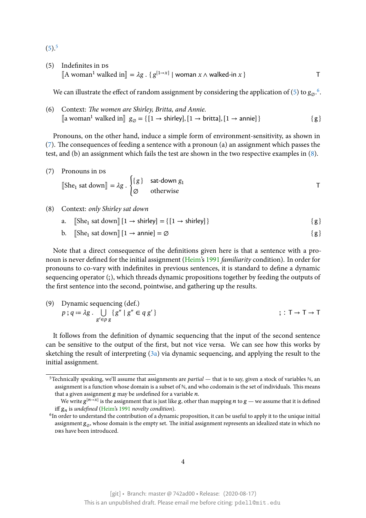$(5).^{5}$ 

 $(5)$  Indefinites in DS  $\Vert$ A woman<sup>1</sup> walked in $\Vert = \lambda g \cdot \{ g^{[1\rightarrow x]} \mid$  woman *x* ∧ walked-in *x* } T

We can illustrate the effect of random assignment by considering the application of (5) to  $g\mathfrak{g}_\infty$ .

(6) Context: *The women are Shirley, Britta, and Annie.*  $[\![\text{a woman}^1 \text{ walked in}]\!]$  $[\![\text{a woman}^1 \text{ walked in}]\!]$  $[\![\text{a woman}^1 \text{ walked in}]\!]$   $g_{\emptyset} = \{ [1 \rightarrow \text{shirley}], [1 \rightarrow \text{britta}], [1 \rightarrow \text{annie}] \}$  { g }

Pronouns, on the other hand, induce a simple form of environment-sensitivity, as shown in (7). The consequences of feeding a sentence with a pronoun (a) an assignment which passes the test, and (b) an assignment which fails the test are shown in the two respective examples in (8).

[\(7](#page-2-0)) Pronouns in DS  $[\text{She}_1 \text{ sat down}] = \lambda g \cdot \left\{$  ${g}$  sat-down  $g_1$ ∅ otherwise T

#### (8) Context: *only Shirley sat down*

- a.  $[\text{She}_1 \text{ sat down}][1 \rightarrow \text{shire}]\ = \{ [1 \rightarrow \text{shire}]\}$  { g }
- b.  $[\text{She}_1 \text{ sat down}][1 \rightarrow \text{anne}] = \varnothing$  { g }

Note that a direct consequence of the definitions given here is that a sentence with a pronoun is never defined for the initial assignment (Heim's 1991 *familiarity* condition). In order for pronouns to co-vary with indefinites in previous sentences, it is standard to define a dynamic sequencing operator (;), which threads dynamic propositions together by feeding the outputs of the first sentence into the second, pointwise, an[d gathe](#page-28-9)r[ing u](#page-28-9)p the results.

(9) Dynamic sequencing (def.)  
\n
$$
p
$$
;  $q := \lambda g$ .  $\bigcup_{g' \in p g} \{g'' \mid g'' \in q g'\}$   $\qquad \qquad ; \ I \to \top \to \top$ 

It follows from the definition of dynamic sequencing that the input of the second sentence can be sensitive to the output of the first, but not vice versa. We can see how this works by sketching the result of interpreting (3a) via dynamic sequencing, and applying the result to the initial assignment.

<sup>5</sup>Technically speaking, we'll assume that assignments are *partial* — that is to say, given a stock of variables ℕ, an assignment is a function whose domain [is a](#page-2-0) subset of ℕ, and who codomain is the set of individuals. This means that a given assignment  $g$  may be *un*defined for a variable  $n$ .

We write  $g^{[n\to x]}$  is the assignment that is just like g, other than mapping  $n$  to  $g$  — we assume that it is defined iff  $g_n$  is *undefined* (Heim's 1991 *novelty condition*).

<span id="page-3-0"></span><sup>&</sup>lt;sup>6</sup>In order to understand the contribution of a dynamic proposition, it can be useful to apply it to the unique initial assignment  $g_{\varnothing}$ , whose domain is the empty set. The initial assignment represents an idealized state in which no DRS have been introduced.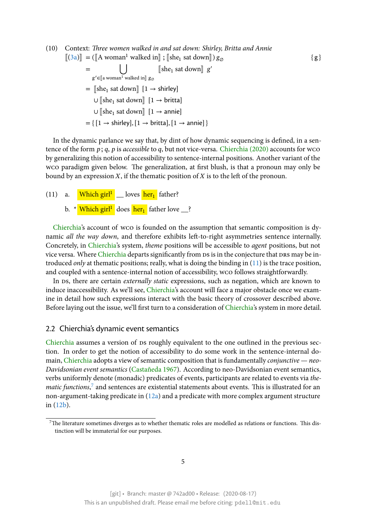(10) Context: *Three women walked in and sat down: Shirley, Britta and Annie*  $\llbracket$ (3a) $\rrbracket$  = ( $\llbracket$ A woman<sup>1</sup> walked in $\rrbracket$  ;  $\llbracket$ she<sub>1</sub> sat down $\rrbracket$ )  $g_{\emptyset}$ 

 $=$   $\bigcup$  $g'$ ∈[[a woman $^1$  walked in]]  $g_{\varnothing}$  $[\![\text{she}_1 \text{ sat down}]\!]$  g'  $=$  [she<sub>1</sub> sat down]  $[1 \rightarrow \text{shirley}]$ ∪ [she<sub>1</sub> sat down]  $[1 \rightarrow \text{britta}]$ ∪ [she<sub>1</sub> sat down]  $[1 \rightarrow \text{annie}]$  $= \{ [1 \rightarrow shrink], [1 \rightarrow birth], [1 \rightarrow annie] \}$ 

In the dynamic parlance we say that, by dint of how dynamic sequencing is defined, in a sentence of the form  $p$ ;  $q$ ,  $p$  is *accessible* to  $q$ , but not vice-versa. Chierchia (2020) accounts for wco by generalizing this notion of accessibility to sentence-internal positions. Another variant of the wco paradigm given below. The generalization, at first blush, is that a pronoun may only be bound by an expression  $X$ , if the thematic position of  $X$  is to [the left of the pro](#page-28-0)noun.

(11) a. Which girl<sup>1</sup> \_\_ loves her<sub>1</sub> father?

b. \*<mark> Which girl<sup>1</sup> does <mark>her<sub>1</sub></mark> father love \_\_?</mark>

Chierchia's account of wco is founded on the assumption that semantic composition is dynamic *all the way down*, and therefore exhibits left-to-right asymmetries sentence internally. Concretely, in Chierchia's system, *theme* positions will be accessible to *agent* positions, but not vi[ce versa. W](#page-28-0)here Chierchia departs significantly from DS is in the conjecture that DRS may be introduced *only* at thematic positions; really, what is doing the binding in (11) is the trace position, and coupled w[ith a sente](#page-28-0)nce-internal notion of accessibility, wco follows straightforwardly.

In ds, there ar[e certain](#page-28-0) *externally static* expressions, such as negation, which are known to induce inaccessibility. As we'll see, Chierchia's account will face a major [ob](#page-2-0)stacle once we examine in detail how such expressions interact with the basic theory of crossover described above. Before laying out the issue, we'll first turn to a consideration of Chierchia's system in more detail.

#### 2.2 Chierchia's dynamic event [semantic](#page-28-0)s

<span id="page-4-0"></span>Chierchia assumes a version of ps roughly equivalent to the [one outlin](#page-28-0)ed in the previous section. In order to get the notion of accessibility to do some work in the sentence-internal domain, Chierchia adopts a view of semantic composition that is fundamentally *conjunctive* — *neo-[Davidsoni](#page-28-0)an event semantics* (Castañeda 1967). According to neo-Davidsonian event semantics, verbs uniformly denote (monadic) predicates of events, participants are related to events via *the* $matic \, functions, ^7$  $matic \, functions, ^7$  $matic \, functions, ^7$  and sentences are existential statements about events. This is illustrated for an non-argument-taking predic[ate in \(12a\) and a](#page-28-10) predicate with more complex argument structure in (12b).

<sup>7</sup>The literature sometimes diverges as to [whet](#page-4-0)her thematic roles are modelled as relations or functions. This dis[tincti](#page-4-0)on will be immaterial for our purposes.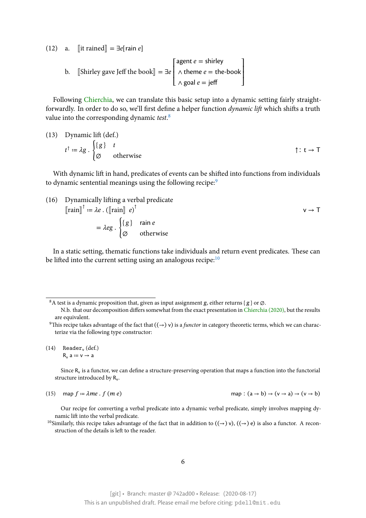(12) a.  $\left[\text{it rained}\right] = \exists e \left[\text{rain } e\right]$ 

b.  $\left[\text{Shiftey gave Jeff the book}\right] = \exists e$  $\mathsf I$  $\mathsf I$  $\mathsf I$ ⎣ agent  $e =$  shirley  $\wedge$  theme  $e =$  the-book  $∧$  goal  $e =$  jeff  $\overline{\phantom{a}}$  $\overline{\phantom{a}}$ ⎥ ⎦

Following Chierchia, we can translate this basic setup into a dynamic setting fairly straightforwardly. In order to do so, we'll first define a helper function *dynamic lift* which shifts a truth value into the corresponding dynamic *test*. 8

(13) Dynamic lift (def.)  
\n
$$
t^{\uparrow} := \lambda g \cdot \begin{cases} \{g\} & t \\ \varnothing & \text{otherwise} \end{cases}
$$
  $\uparrow : t \to T$ 

With dynamic lift in hand, predicates of events can be shifted into functions from individuals to dynamic sentential meanings using the following recipe:<sup>9</sup>

(16) Dynamically lifting a verbal predicate  
\n
$$
[\text{rain}]^{\uparrow} := \lambda e \cdot ([\text{rain}] \ e)^{\uparrow}
$$
\n
$$
= \lambda eg \cdot \begin{cases} \{g\} & \text{rain } e \\ \emptyset & \text{otherwise} \end{cases} \qquad \qquad \mathsf{v} \to \mathsf{T}
$$

In a static setting, thematic functions take individuals and return event predicates. These can be lifted into the current setting using an analogous recipe: $10$ 

Since  $R_v$  is a functor, we can define a structure-preserving operation that maps a function into the functorial structure introduced by  $R_v$ .

(15) map 
$$
f = \lambda me \cdot f(me)
$$

map :  $(a \rightarrow b) \rightarrow (v \rightarrow a) \rightarrow (v \rightarrow b)$ 

Our recipe for converting a verbal predicate into a dynamic verbal predicate, simply involves mapping dynamic lift into the verbal predicate.

<sup>10</sup>Similarly, this recipe takes advantage of the fact that in addition to  $((\rightarrow) v)$ ,  $((\rightarrow) e)$  is also a functor. A reconstruction of the details is left to the reader.

<sup>&</sup>lt;sup>8</sup>A test is a dynamic proposition that, given as input assignment g, either returns {  $g$  } or  $\emptyset$ .

N.b. that our decomposition differs somewhat from the exact presentation in Chierchia (2020), but the results are equivalent.

<sup>&</sup>lt;sup>9</sup>This recipe takes advantage of the fact that  $((\to) v)$  is a *functor* in category theoretic terms, which we can characterize via the following type constructor:

 $(14)$  Reader<sub>v</sub> (def.)  $R_v$  a =  $v \rightarrow a$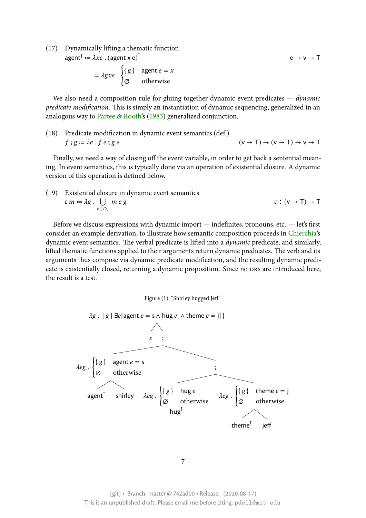(17) Dynamically lifting a thematic function  $\mathsf{agent}^\uparrow \coloneqq \lambda x e$  .  $(\mathsf{agent} \ \mathsf{x} \ \mathsf{e})^\uparrow$ 

$$
= \lambda gxe \cdot \begin{cases} \{g\} & \text{agent } e = x \\ \varnothing & \text{otherwise} \end{cases}
$$

We also need a composition rule for gluing together dynamic event predicates — *dynamic predicate modification*. This is simply an instantiation of dynamic sequencing, generalized in an analogous way to Partee & Rooth's (1983) generalized conjunction.

(18) Predicate modification in dynamic event semantics (def.)  $f$ ;  $g = \lambda e$ .  $f$   $e$ ;  $g$   $e$   $\qquad \qquad (v \to T) \to (v \to T) \to v \to T$ 

Finally, we need a way of closing off the event variable, in order to get back a sentential meaning. In event semantics, this is typically done via an operation of existential closure. A dynamic version of this operation is defined below.

(19) Existential closure in dynamic event semantics  $\varepsilon$   $m \coloneqq \lambda g$  .  $\bigcup$  $e∈D_v$  $\varepsilon$  :  $(v \rightarrow T) \rightarrow T$ 

Before we discuss expressions with dynamic import — indefinites, pronouns, etc. — let's first consider an example derivation, to illustrate how semantic composition proceeds in Chierchia's dynamic event semantics. The verbal predicate is lifted into a *dynamic* predicate, and similarly, lifted thematic functions applied to their arguments return dynamic predicates. The verb and its arguments thus compose via dynamic predicate modification, and the resulting dyn[amic pred](#page-28-0)icate is existentially closed, returning a dynamic proposition. Since no drs are introduced here, the result is a test.

Figure (1): "Shirley hugged Jeff"

<span id="page-6-0"></span>

7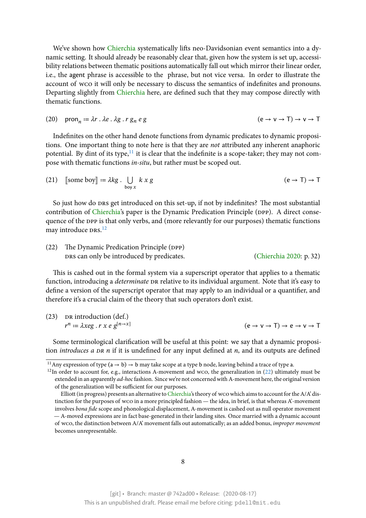We've shown how Chierchia systematically lifts neo-Davidsonian event semantics into a dynamic setting. It should already be reasonably clear that, given how the system is set up, accessibility relations between thematic positions automatically fall out which mirror their linear order, i.e., the agent phrase [is accessib](#page-28-0)le to the phrase, but not vice versa. In order to illustrate the account of wco it will only be necessary to discuss the semantics of indefinites and pronouns. Departing slightly from Chierchia here, are defined such that they may compose directly with thematic functions.

(20) 
$$
\text{pron}_n := \lambda r \cdot \lambda e \cdot \lambda g \cdot r g_n e g
$$
  $(e \to v \to T) \to v \to T$ 

Indefinites on the other hand denote functions from dynamic predicates to dynamic propositions. One important thing to note here is that they are *not* attributed any inherent anaphoric potential. By dint of its type, $11$  it is clear that the indefinite is a scope-taker; they may not compose with thematic functions *in-situ*, but rather must be scoped out.

(21) [some boy] := 
$$
\lambda kg \cdot \bigcup_{\text{boy } x} k \times g
$$
 (e  $\rightarrow$  T)  $\rightarrow$  T

So just how do DRS get introduced on this set-up, if not by indefinites? The most substantial contribution of Chierchia's paper is the Dynamic Predication Principle (DPP). A direct consequence of the DPP is that only verbs, and (more relevantly for our purposes) thematic functions may introduce  $DRS$ <sup>12</sup>

(22) The Dyn[amic Predi](#page-28-0)cation Principle (DPP) DRS can only [b](#page-7-1)e introduced by predicates. (Chierchia 2020: p. 32)

This is cashed out in the formal system via a superscript operator that applies to a thematic function, introducing a *determinate* DR relative to its individual argument. Note that it's easy to define a version of the superscript operator that may apply to an individ[ual or a quantifie](#page-28-0)r, and therefore it's a crucial claim of the theory that such operators don't exist.

 $(23)$  DR introduction (def.)  $r^n := \lambda xeg \cdot r \times e \cdot g^{[n \to x]}$  $(e \rightarrow v \rightarrow T) \rightarrow e \rightarrow v \rightarrow T$ 

Some terminological clarification will be useful at this point: we say that a dynamic proposition *introduces a DR n* if it is undefined for any input defined at *n*, and its outputs are defined

<sup>&</sup>lt;sup>11</sup>Any expression of type  $(a \rightarrow b) \rightarrow b$  may take scope at a type b node, leaving behind a trace of type a.

 $12$ In order to account for, e.g., interactions A-movement and wco, the generalization in (22) ultimately must be extended in an apparently *ad-hoc*fashion. Since we're not concerned with A-movement here, the original version of the generalization will be sufficient for our purposes.

<span id="page-7-1"></span><span id="page-7-0"></span>Elliott (in progress) presents an alternative to Chierchia's theory of wco which aims to account for the  $A/A$ ' distinction for the purposes of wco in a more principled fashion — the idea, in brief, is tha[t w](#page-6-0)hereas A'-movement involves *bona fide* scope and phonological displacement, A-movement is cashed out as null operator movement — A-moved expressions are in fact base-generated in their landing sites. Once married with a dynamic account of wco, the distinction between A/A' moveme[nt falls out](#page-28-0) automatically; as an added bonus, *improper movement* becomes unrepresentable.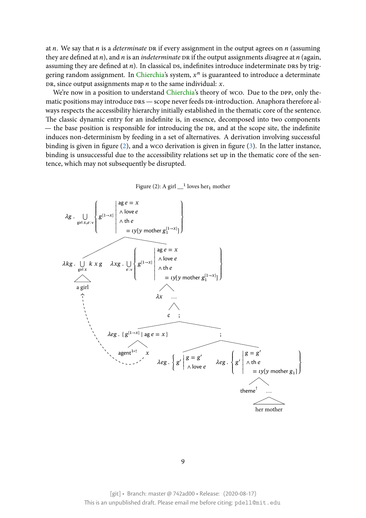at  $n$ . We say that  $n$  is a *determinate* DR if every assignment in the output agrees on  $n$  (assuming they are defined at  $n$ ), and  $n$  is an *indeterminate* DR if the output assignments *disagree* at  $n$  (again, assuming they are defined at  $n$ ). In classical  $DS$ , indefinites introduce indeterminate  $DRs$  by triggering random assignment. In Chierchia's system,  $x^n$  is guaranteed to introduce a determinate DR, since output assignments map  $n$  to the same individual:  $x$ .

We're now in a position to understand Chierchia's theory of wco. Due to the DPP, only thematic positions may introduce DRS — scope never feeds DR-introduction. Anaphora therefore always respects the accessibility hierarchy initially established in the thematic core of the sentence. The classic dynamic entry for an indefin[ite is, in e](#page-28-0)ssence, decomposed into two components — the base position is responsible for introducing the DR, and at the scope site, the indefinite induces non-determinism by feeding in a set of alternatives. A derivation involving successful binding is given in figure  $(2)$ , and a wco derivation is given in figure  $(3)$ . In the latter instance, binding is unsuccessful due to the accessibility relations set up in the thematic core of the sentence, which may not subsequently be disrupted.



![](_page_8_Figure_3.jpeg)

[git] • Branch: master @ 742ad00 • Release: (2020-08-17) This is an unpublished draft. Please email me before citing: pdell@mit.edu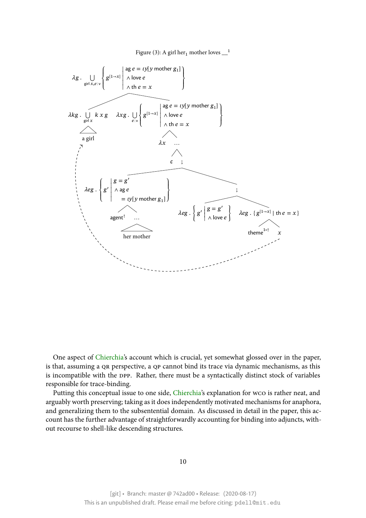![](_page_9_Figure_1.jpeg)

One aspect of Chierchia's account which is crucial, yet somewhat glossed over in the paper, is that, assuming a QR perspective, a QP cannot bind its trace via dynamic mechanisms, as this is incompatible with the DPP. Rather, there must be a syntactically distinct stock of variables responsible for tr[ace-bindin](#page-28-0)g.

Putting this conceptual issue to one side, Chierchia's explanation for wco is rather neat, and arguably worth preserving; taking as it does independently motivated mechanisms for anaphora, and generalizing them to the subsentential domain. As discussed in detail in the paper, this account has the further advantage of straightf[orwardly ac](#page-28-0)counting for binding into adjuncts, without recourse to shell-like descending structures.

#### 10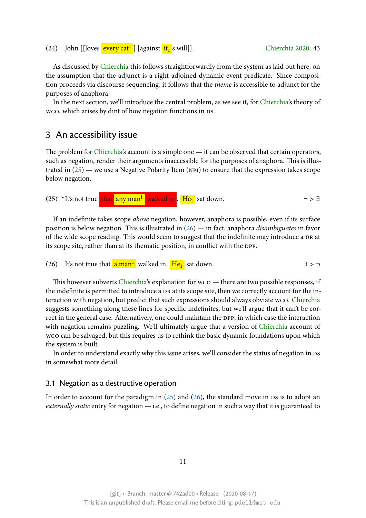As discussed by Chierchia this follows straightforwardly from the system as laid out here, on the assumption that the adjunct is a right-adjoined dynamic event predic[ate. Since comp](#page-28-0)osition proceeds via discourse sequencing, it follows that the *theme* is accessible to adjunct for the purposes of anaphora.

In the next secti[on, we'll in](#page-28-0)troduce the central problem, as we see it, for Chierchia's theory of wco, which arises by dint of how negation functions in DS.

## 3 An accessibility issue

<span id="page-10-0"></span>The problem for Chierchia's account is a simple one — it can be observed that certain operators, such as negation, render their arguments inaccessible for the purposes of anaphora. This is illustrated in  $(25)$  — we use a Negative Polarity Item (NPI) to ensure that the expression takes scope below negation.

(25) \*It's [no](#page-10-0)t true that any man<sup>1</sup> walked in . He<sub>1</sub> sat down.  $\rightarrow$   $\rightarrow$   $\rightarrow$   $\rightarrow$   $\rightarrow$   $\rightarrow$ 

If an indefinite takes scope *above* negation, however, anaphora is possible, even if its surface position is below negation. This is illustrated in (26) — in fact, anaphora *disambiguates* in favor of the wide scope reading. This would seem to suggest that the indefinite may introduce a DR at its scope site, rather than at its thematic position, in conflict with the DPP.

(26) It's not true that  $\frac{a \text{ man}^1}{a \text{ man}^1}$  walked in.  $\frac{He_1}{a \text{ sum}^1}$  [sat](#page-10-0) down.

This however subverts Chierchia's explanation for wco — there are two possible responses, if the indefinite is permitted to introduce a DR at its scope site, then we correctly account for the interaction with negation, but predict that such expressions should always obviate wco. Chierchia suggests something alon[g these line](#page-28-0)s for specific indefinites, but we'll argue that it can't be correct in the general case. Alternatively, one could maintain the DPP, in which case the interaction with negation remains puzzling. We'll ultimately argue that a version of Chierchia [account of](#page-28-0) wco can be salvaged, but this requires us to rethink the basic dynamic foundations upon which the system is built.

In order to understand exactly why this issue arises, we'll consider the st[atus of neg](#page-28-0)ation in DS in somewhat more detail.

#### 3.1 Negation as a destructive operation

<span id="page-10-1"></span>In order to account for the paradigm in  $(25)$  and  $(26)$ , the standard move in Ds is to adopt an *externally static* entry for negation — i.e., to define negation in such a way that it is guaranteed to

11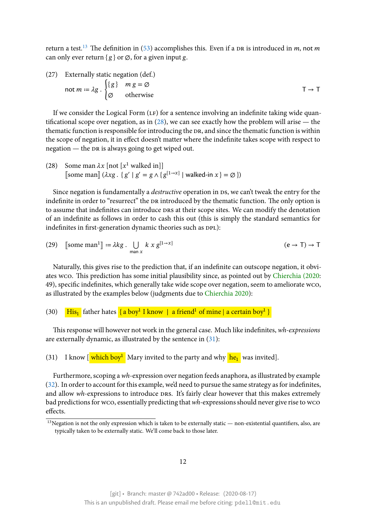return a test.<sup>13</sup> The definition in (53) accomplishes this. Even if a DR is introduced in m, not m can only ever return {  $g$  } or  $\varnothing$ , for a given input g.

(27) Exter[na](#page-11-0)lly static negation([def](#page-15-0).)

$$
\text{not } m := \lambda g \cdot \begin{cases} \{g\} & m g = \emptyset \\ \emptyset & \text{otherwise} \end{cases} \tag{7} \rightarrow T
$$

If we consider the Logical Form  $(LF)$  for a sentence involving an indefinite taking wide quantificational scope over negation, as in  $(28)$ , we can see exactly how the problem will arise — the thematic function is responsible for introducing the DR, and since the thematic function is within the scope of negation, it in effect doesn't matter where the indefinite takes scope with respect to negation  $-$  the DR is always going to [get w](#page-10-1)iped out.

(28) Some man  $\lambda x$  [not [ $x^1$  walked in]] [some man]  $(\lambda x g \cdot \{ g' \mid g' = g \wedge \{ g^{[1 \to x]} \mid \text{walked-in } x \} = \emptyset \})$ 

Since negation is fundamentally a *destructive* operation in DS, we can't tweak the entry for the indefinite in order to "resurrect" the DR introduced by the thematic function. The only option is to assume that indefinites can introduce DRS at their scope sites. We can modify the denotation of an indefinite as follows in order to cash this out (this is simply the standard semantics for indefinites in first-generation dynamic theories such as DPL):

(29) [some man<sup>1</sup>] := 
$$
\lambda k g \cdot \bigcup_{\text{man } x} k x g^{[1 \to x]}
$$
 (e \to T) \to T

Naturally, this gives rise to the prediction that, if an indefinite can outscope negation, it obviates wco. This prediction has some initial plausibility since, as pointed out by Chierchia (2020: 49), specific indefinites, which generally take wide scope over negation, seem to ameliorate wco, as illustrated by the examples below (judgments due to Chierchia 2020):

### (30) <mark>His<sub>1</sub></mark> father hates <mark>{ a boy<sup>1</sup> I know | a friend<sup>1</sup> of mine | a certain boy<sup>1</sup> }</del></mark>

This response will however not work in the general c[ase. Much like in](#page-28-0)definites, *wh-expressions* are externally dynamic, as illustrated by the sentence in (31):

(31) I know  $\left[\frac{\text{which boy}^1}{\text{Mary invited to the party and why }he_1}\right]$  was invited.

Furthermore, scoping a *wh*-expression over negation f[eed](#page-10-1)s anaphora, as illustrated by example (32). In order to account for this example, we'd need to pursue the same strategy as for indefinites, and allow *wh*-expressions to introduce DRS. It's fairly clear however that this makes extremely bad predictions for wco, essentially predicting that *wh-*expressions should never give rise to wco [effe](#page-10-1)cts.

<span id="page-11-0"></span> $13$ Negation is not the only expression which is taken to be externally static — non-existential quantifiers, also, are typically taken to be externally static. We'll come back to those later.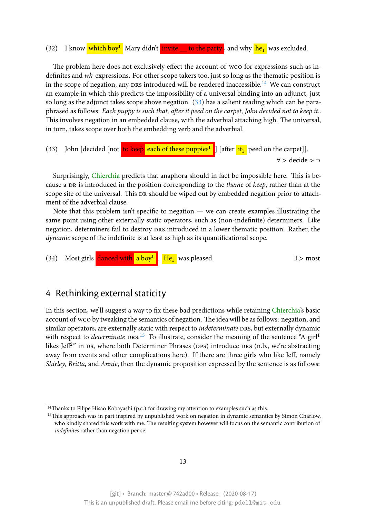#### (32) I know which boy<sup>1</sup> Mary didn't **invite** to the party, and why he<sub>1</sub> was excluded.

The problem here does not exclusively effect the account of wco for expressions such as indefinites and *wh*-expressions. For other scope takers too, just so long as the thematic position is in the scope of negation, any  $prs$  introduced will be rendered inaccessible.<sup>14</sup> We can construct an example in which this predicts the impossibility of a universal binding into an adjunct, just so long as the adjunct takes scope above negation. (33) has a salient reading which can be paraphrased as follows: *Each puppy is such that, after it peed on the carpet, John [dec](#page-12-0)ided not to keep it.*. This involves negation in an embedded clause, with the adverbial attaching high. The universal, in turn, takes scope over both the embedding verb [and](#page-10-1) the adverbial.

(33) John [decided [not <mark>to keep each of these puppies<sup>1</sup>]</mark> [after it<sub>1</sub>] peed on the carpet]]. ∀ > decide > ¬

Surprisingly, Chierchia predicts that anaphora should in fact be impossible here. This is because a DR is introduced in the position corresponding to the *theme* of *keep*, rather than at the scope site of the universal. This DR should be wiped out by embedded negation prior to attachment of the adv[erbial clau](#page-28-0)se.

Note that this problem isn't specific to negation — we can create examples illustrating the same point using other externally static operators, such as (non-indefinite) determiners. Like negation, determiners fail to destroy DRS introduced in a lower thematic position. Rather, the *dynamic* scope of the indefinite is at least as high as its quantificational scope.

![](_page_12_Picture_5.jpeg)

# 4 Rethinking external staticity

In this section, we'll suggest a way to fix these bad predictions while retaining Chierchia's basic account of wco by tweaking the semantics of negation. The idea will be as follows: negation, and similar operators, are externally static with respect to *indeterminate* DRS, but externally dynamic with respect to *determinate* DRS.<sup>15</sup> To illustrate, consider the meaning of the [sentence "A](#page-28-0) girl<sup>1</sup> likes Jeff $^{2n}$  in  $\mathsf{ds},$  where both Determiner Phrases (DPs) introduce DRS (n.b., we're abstracting away from events and other complications here). If there are three girls who like Jeff, namely *Shirley*, *Britta*, and *Annie*, then t[he](#page-12-1) dynamic proposition expressed by the sentence is as follows:

<sup>&</sup>lt;sup>14</sup>Thanks to Filipe Hisao Kobayashi (p.c.) for drawing my attention to examples such as this.

<span id="page-12-1"></span><span id="page-12-0"></span><sup>&</sup>lt;sup>15</sup>This approach was in part inspired by unpublished work on negation in dynamic semantics by Simon Charlow, who kindly shared this work with me. The resulting system however will focus on the semantic contribution of *indefinites* rather than negation per se.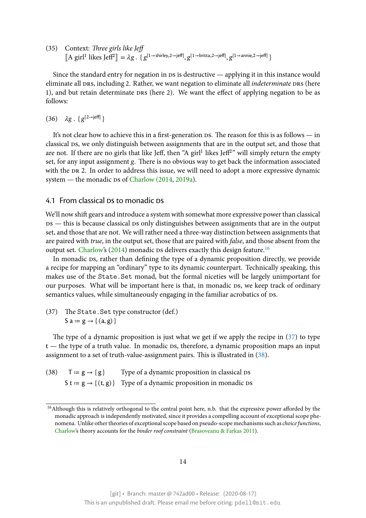(35) Context: *Three girls like Jeff*  $\llbracket A \text{ girl}^1 \text{ likes Jeff}^2 \rrbracket = \lambda g \cdot \{ g^{[1 \to \text{shirley}, 2 \to \text{jeff}]}, g^{[1 \to \text{britta}, 2 \to \text{jeff}]}, g^{[1 \to \text{annie}, 2 \to \text{jeff}]}\}$ 

Since the standard entry for negation in  $\bar{D}$  is destructive — applying it in this instance would eliminate all DRS, including 2. Rather, we want negation to eliminate all *indeterminate* DRS (here 1), and but retain determinate DRS (here 2). We want the effect of applying negation to be as follows:

(36)  $\lambda$ g. { g<sup>[2→jeff]</sup> }

It's not clear how to achieve this in a first-generation  $\delta$ . The reason for this is as follows — in classical DS, we only distinguish between assignments that are in the output set, and those that are not. If there are no girls that like Jeff, then "A girl $^1$  likes Jeff $^{2}$ " will simply return the empty set, for any input assignment g. There is no obvious way to get back the information associated with the DR 2. In order to address this issue, we will need to adopt a more expressive dynamic system — the monadic ps of Charlow (2014, 2019a).

#### 4.1 From classical Ds to monadic Ds

<span id="page-13-1"></span>We'll now shift gears and intr[oduce a system w](#page-28-1)[ith som](#page-28-2)ewhat more expressive power than classical  $ps$  — this is because classical  $ps$  only distinguishes between assignments that are in the output set, and those that are not. We will rather need a three-way distinction between assignments that are paired with *true*, in the output set, those that are paired with *false*, and those absent from the output set. Charlow's (2014) monadic ps delivers exactly this design feature.<sup>16</sup>

In monadic ps, rather than defining the type of a dynamic proposition directly, we provide a recipe for mapping an "ordinary" type to its dynamic counterpart. Technically speaking, this makes use of the Sta[te.Se](#page-28-1)t monad, but the formal niceties will be larg[ely](#page-13-0) unimportant for our purpo[ses. Wha](#page-28-1)t will be important here is that, in monadic ps, we keep track of ordinary semantics values, while simultaneously engaging in the familiar acrobatics of DS.

(37) The State.Set type constructor (def.) S a =  $g \rightarrow \{(a, g)\}\$ 

The type of a dynamic proposition is just what we get if we apply the recipe in (37) to type  $t$  — the type of a truth value. In monadic Ds, therefore, a dynamic proposition maps an input assignment to a set of truth-value-assignment pairs. This is illustrated in (38).

(38)  $T := g \rightarrow \{g\}$  Type of a dynamic proposition in classical DS S t =  $g \rightarrow \{(t, g)\}$  Type of a dynamic proposition in monadic DS

<span id="page-13-0"></span><sup>&</sup>lt;sup>16</sup>Although this is relatively orthogonal to the central point here, n.b. that the expressive power afforded by the monadic approach is independently motivated, since it provides a compelling account of exceptional scope phenomena. Unlike other theories of exceptional scope based on pseudo-scope mechanisms such as*choice functions*, Charlow's theory accounts for the *binder roof constraint* (Brasoveanu & Farkas 2011).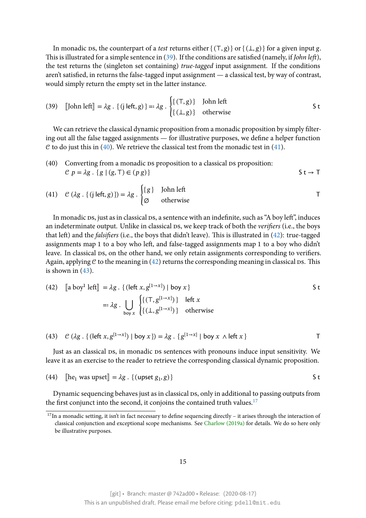In monadic ps, the counterpart of a *test* returns either  ${ (T, g) }$  or  ${ (L, g) }$  for a given input g. This is illustrated for a simple sentence in (39). If the conditions are satisfied (namely, if *John left*), the test returns the (singleton set containing) *true-tagged* input assignment. If the conditions aren't satisfied, in returns the false-tagged input assignment — a classical test, by way of contrast, would simply return the empty set in the [latt](#page-13-1)er instance.

(39) [John left] = 
$$
\lambda g \cdot \{ (j \text{ left}, g) \} =: \lambda g \cdot \begin{cases} \{ (\top, g) \} & \text{John left} \\ \{ (\bot, g) \} & \text{otherwise} \end{cases}
$$
 S t

We can retrieve the classical dynamic proposition from a monadic proposition by simply filtering out all the false tagged assignments — for illustrative purposes, we define a helper function  $\mathcal C$  to do just this in (40). We retrieve the classical test from the monadic test in (41).

(40) Converting from a monadic ps proposition to a classical ps proposition:  
\n
$$
C p = \lambda g \cdot \{g \mid (g, T) \in (p g)\}
$$
  $S t \rightarrow T$ 

(41) 
$$
C (\lambda g. \{(j \mid \text{left}, g)\}) = \lambda g. \begin{cases} \{g\} & \text{John left} \\ \varnothing & \text{otherwise} \end{cases}
$$
 T

In monadic ps, just as in classical ps, a sentence with an indefinite, such as "A boy left", induces an indeterminate output. Unlike in classical Ds, we keep track of both the *verifiers* (i.e., the boys that left) and the *falsifiers* (i.e., the boys that didn't leave). This is illustrated in (42): true-tagged assignments map 1 to a boy who left, and false-tagged assignments map 1 to a boy who didn't leave. In classical ps, on the other hand, we only retain assignments corresponding to verifiers. Again, applying  $C$  to the meaning in (42) returns the corresponding meaning in [cla](#page-13-1)ssical  $Ds$ . This is shown in  $(43)$ .

(42) 
$$
\begin{aligned} \n\text{[a boy1]} &= \lambda g \cdot \{ (\text{left } x, g^{[1 \to x]}) \mid \text{boy } x \} \\ \n&=:\lambda g \cdot \bigcup_{\text{boy } x} \begin{cases} \{ (\text{T}, g^{[1 \to x]}) \} & \text{left } x \\ \{ (\perp, g^{[1 \to x]}) \} & \text{otherwise} \end{cases} \n\end{aligned}
$$

(43) 
$$
C (\lambda g \cdot \{ (\text{left } x, g^{[1 \to x]}) \mid \text{boy } x \}) = \lambda g \cdot \{ g^{[1 \to x]} \mid \text{boy } x \wedge \text{left } x \}
$$

Just as an classical DS, in monadic DS sentences with pronouns induce input sensitivity. We leave it as an exercise to the reader to retrieve the corresponding classical dynamic proposition.

(44) 
$$
[\text{he}_1 \text{ was upset}] = \lambda g \cdot \{ (\text{upset } g_1, g) \}
$$
 S t

Dynamic sequencing behaves just as in classical DS, only in additional to passing outputs from the first conjunct into the second, it conjoins the contained truth values.<sup>17</sup>

<sup>&</sup>lt;sup>17</sup>In a monadic setting, it isn't in fact necessary to define sequencing directly – it arises through the interaction of classical conjunction and exceptional scope mechanisms. See Charlow (2019a) for details. We do so here only be illustrative purposes.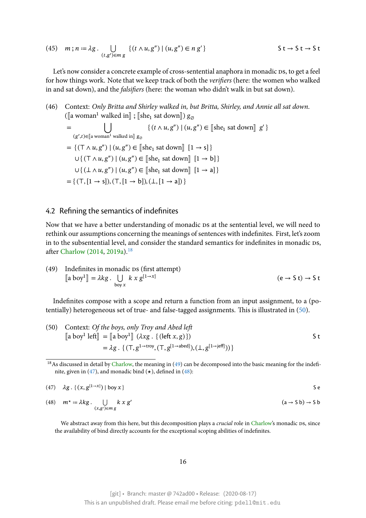(45) 
$$
m; n := \lambda g \cdot \bigcup_{(t,g') \in m g} \{ (t \wedge u, g'') \mid (u, g'') \in n g' \}
$$

Let's now consider a concrete example of cross-sentential anaphora in monadic DS, to get a feel for how things work. Note that we keep track of both the *verifiers* (here: the women who walked in and sat down), and the *falsifiers* (here: the woman who didn't walk in but sat down).

(46) Context: *Only Britta and Shirley walked in, but Britta, Shirley, and Annie all sat down*.  $\left(\left[\!\left[\!\left[a\right]\!\left\{\operatorname{weak}\right.\right.\right]$  walked in $\right]\!\right)$  ;  $\left[\!\left[\operatorname{she}_{1}\!\left(\operatorname{sat}\!\left\{\operatorname{down}\right\}\right]\!\right]$   $\right)$   $\mathcal{G}_{\varnothing}$ 

$$
= \bigcup_{(g',t)\in[\![a \text{ woman}^1 \text{ walked in}]\!]} \{(t \land u, g'') \mid (u, g'') \in [\![\text{she}_1 \text{ sat down}]\!] \ g'\}
$$
\n
$$
= \{(\top \land u, g'') \mid (u, g'') \in [\![\text{she}_1 \text{ sat down}]\!] \ [1 \to s]\}
$$
\n
$$
\cup \{(\top \land u, g'') \mid (u, g'') \in [\![\text{she}_1 \text{ sat down}]\!] \ [1 \to b]\}
$$
\n
$$
\cup \{(\bot \land u, g'') \mid (u, g'') \in [\![\text{she}_1 \text{ sat down}]\!] \ [1 \to a]\}
$$
\n
$$
= \{(\top, [1 \to s]), (\top, [1 \to b]), (\bot, [1 \to a])\}
$$

#### 4.2 Refining the semantics of indefinites

<span id="page-15-0"></span>Now that we have a better understanding of monadic DS at the sentential level, we will need to rethink our assumptions concerning the meanings of sentences with indefinites. First, let's zoom in to the subsentential level, and consider the standard semantics for indefinites in monadic DS, after Charlow (2014, 2019a).<sup>18</sup>

(49) Indefinites in monadic 
$$
\text{DS} \left( \text{first attempt} \right)
$$
  
\n $\begin{bmatrix} \text{a boy}^1 \end{bmatrix} = \lambda kg \cdot \bigcup_{\text{boy } x} k x g^{[1 \to x]}$  \n $(e \to S t) \to S t$ 

Indefinites compose with a scope and return a function from an input assignment, to a (potentially) heterogeneous set of true- and false-tagged assignments. This is illustrated in (50).

(50) Context: *Of the boys, only Troy and Abel left*  
\n
$$
[\![a boy^1 \!] \text{left}]\!] = [\![a boy^1]\!] \ (\lambda xg. \{(\text{left } x, g)\})\]
$$
\n
$$
= \lambda g. \{(\top, g^{1-\text{troy}}, (\top, g^{[1-\text{abcd}]}), (\bot, g^{[1-\text{jeff}]}))\}\]
$$

 $18$ As discussed in detail by Charlow, the meaning in (49) can be decomposed into the basic meaning for the indefinite, given in (47), and monadic bind  $(\star)$ , defined in (48):

<span id="page-15-1"></span>
$$
(47) \quad \lambda g \quad \{(x, g^{[1\to x]}) \mid \text{boy } x\} \tag{5.1}
$$

(48) 
$$
m^* := \lambda kg \cdot \bigcup_{(x,g') \in m g} k x g'
$$
  $(a \to S b) \to S b$ 

We abstract away from this here, but this decomposition plays a *crucial* role in Charlow's monadic ps, since the availability of bind directly accounts for the exceptional scoping abilities of indefinites.

16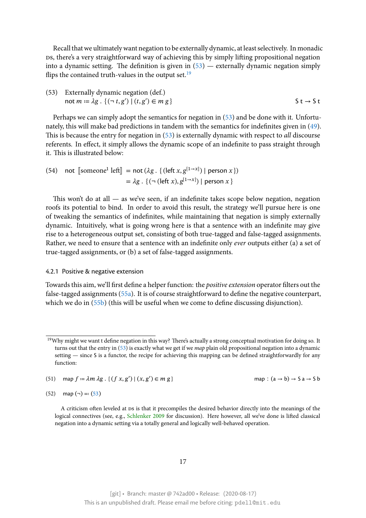Recall that we ultimately want negation to be externally dynamic, at least selectively. In monadic Ds, there's a very straightforward way of achieving this by simply lifting propositional negation into a dynamic setting. The definition is given in  $(53)$  — externally dynamic negation simply flips the contained truth-values in the output set.<sup>19</sup>

(53) Externally dynamic negation (def.) not  $m := \lambda g$ .  $\{ (\neg t, g') \mid (t, g') \in m g \}$   $S t \to S t$ 

Perhaps we can simply adopt the semantics for negation in (53) and be done with it. Unfortunately, this will make bad predictions in tandem with the semantics for indefinites given in (49). This is because the entry for negation in (53) is externally dynamic with respect to *all* discourse referents. In effect, it simply allows the dynamic scope of ani[nde](#page-15-0)finite to pass straight through it. This is illustrated below:

(54) not 
$$
[\text{someone}^1 \text{ left}] = \text{not } (\lambda g \cdot \{ (\text{left } x, g^{[1 \to x]}) \mid \text{person } x \})
$$
\n $= \lambda g \cdot \{ (\neg (\text{left } x), g^{[1 \to x]}) \mid \text{person } x \}$ 

This won't do at all  $-$  as we've seen, if an indefinite takes scope below negation, negation roofs its potential to bind. In order to avoid this result, the strategy we'll pursue here is one of tweaking the semantics of indefinites, while maintaining that negation is simply externally dynamic. Intuitively, what is going wrong here is that a sentence with an indefinite may give rise to a heterogeneous output set, consisting of both true-tagged and false-tagged assignments. Rather, we need to ensure that a sentence with an indefinite only *ever* outputs either (a) a set of true-tagged assignments, or (b) a set of false-tagged assignments.

#### 4.2.1 Positive & negative extension

<span id="page-16-0"></span>Towards this aim, we'll first define a helper function: the *positive extension* operator filters out the false-tagged assignments (55a). It is of course straightforward to define the negative counterpart, which we do in (55b) (this will be useful when we come to define discussing disjunction).

(51) map  $f = \lambda m \lambda g$ . {  $(f x, g') | (x, g')$  $(f x, g') | (x, g')$  $(f x, g') | (x, g')$ 

map :  $(a \rightarrow b) \rightarrow S a \rightarrow S b$ 

(52) map  $(¬) = (53)$ 

<sup>&</sup>lt;sup>19</sup>Why might we want t define negation in this way? There's actually a strong conceptual motivation for doing so. It turns out that the entry in (53) is exactly what we get if we *map* plain old propositional negation into a dynamic setting — since S is a functor, the recipe for achieving this mapping can be defined straightforwardly for any function:

A criticism often leveled at Ds is that it precompiles the desired behavior directly into the meanings of the logical connectives (see, e.g., Schlenker 2009 for discussion). Here however, all we've done is lifted classical negation into a [dyn](#page-15-0)amic setting via a totally general and logically well-behaved operation.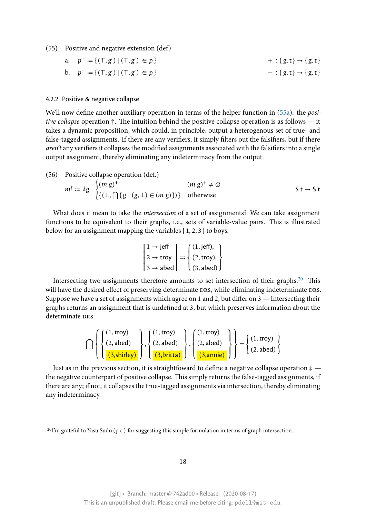(55) Positive and negative extension (def)

a. 
$$
p^+ := \{ (T, g') | (T, g') \in p \}
$$
  
\nb.  $p^- := \{ (T, g') | (T, g') \in p \}$   
\nc.  $\{ g, t \} \rightarrow \{ g, t \}$   
\nd.  $\{ g, t \} \rightarrow \{ g, t \}$ 

#### 4.2.2 Positive & negative collapse

We'll now define another auxiliary operation in terms of the helper function in (55a): the *positive collapse* operation †. The intuition behind the positive collapse operation is as follows — it takes a dynamic proposition, which could, in principle, output a heterogenous set of true- and false-tagged assignments. If there are any verifiers, it simply filters out the falsifie[rs, b](#page-16-0)ut if there *aren't* any verifiers it collapses the modified assignments associated with the falsifiers into a single output assignment, thereby eliminating any indeterminacy from the output.

(56) Positive collapse operation (def.)

$$
m^{\dagger} := \lambda g \cdot \begin{cases} (m g)^{+} & (m g)^{+} \neq \emptyset \\ \{ (\bot, \bigcap \{ g \mid (g, \bot) \in (m g) \}) \} & \text{otherwise} \end{cases} \qquad \text{S t} \to \text{S t}
$$

What does it mean to take the *intersection* of a set of assignments? We can take assignment functions to be equivalent to their graphs, i.e., sets of variable-value pairs. This is illustrated below for an assignment mapping the variables { 1, 2, 3 } to boys.

$$
\begin{bmatrix} 1 \rightarrow j \text{ eff} \\ 2 \rightarrow \text{troy} \\ 3 \rightarrow \text{abed} \end{bmatrix} =: \begin{cases} (1, j \text{ eff}), \\ (2, \text{troy}), \\ (3, \text{abed}) \end{cases}
$$

Intersecting two assignments therefore amounts to set intersection of their graphs.<sup>20</sup> This will have the desired effect of preserving determinate DRS, while eliminating indeterminate DRS. Suppose we have a set of assignments which agree on 1 and 2, but differ on 3 — Intersecting their graphs returns an assignment that is undefined at 3, but which preserves information a[bo](#page-17-0)ut the determinate DRS.

$$
\bigcap \left\{ \left\{ \begin{matrix} (1, \text{troy}) \\ (2, \text{abcd}) \\ (3, \text{shirley}) \end{matrix} \right\}, \left\{ \begin{matrix} (1, \text{troy}) \\ (2, \text{abcd}) \\ (3, \text{britta}) \end{matrix} \right\}, \left\{ \begin{matrix} (1, \text{troy}) \\ (2, \text{abcd}) \\ (3, \text{annie}) \end{matrix} \right\} \right\} = \left\{ \begin{matrix} (1, \text{troy}) \\ (2, \text{abcd}) \end{matrix} \right\}
$$

Just as in the previous section, it is straightfoward to define a negative collapse operation ‡ the negative counterpart of positive collapse. This simply returns the false-tagged assignments, if there are any; if not, it collapses the true-tagged assignments via intersection, thereby eliminating any indeterminacy.

<span id="page-17-0"></span><sup>&</sup>lt;sup>20</sup>I'm grateful to Yasu Sudo (p.c.) for suggesting this simple formulation in terms of graph intersection.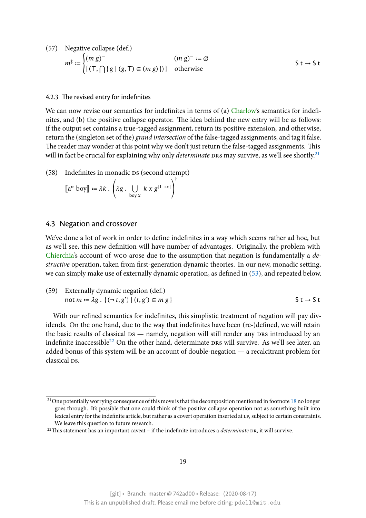(57) Negative collapse (def.)  
\n
$$
m^{\pm} := \begin{cases} (m g)^{-} & (m g)^{-} := \emptyset \\ \{ (\top, \cap \{ g \mid (g, \top) \in (m g) \}) \} & \text{otherwise} \end{cases}
$$
\n5 t \to 5 t

#### 4.2.3 The revised entry for indefinites

<span id="page-18-0"></span>We can now revise our semantics for indefinites in terms of (a) Charlow's semantics for indefinites, and (b) the positive collapse operator. The idea behind the new entry will be as follows: if the output set contains a true-tagged assignment, return its positive extension, and otherwise, return the (singleton set of the) *grand intersection* of the false-tag[ged assign](#page-28-1)ments, and tag it false. The reader may wonder at this point why we don't just return the false-tagged assignments. This will in fact be crucial for explaining why only *determinate* DRS may survive, as we'll see shortly.<sup>21</sup>

(58) Indefinites in monadic Ds (second attempt)

$$
\llbracket a^n \text{ boy} \rrbracket := \lambda k \cdot \left( \lambda g \cdot \bigcup_{\text{boy } x} k x g^{[1 \to x]} \right)^{\dagger}
$$

#### 4.3 Negation and crossover

We've done a lot of work in order to define indefinites in a way which seems rather ad hoc, but as we'll see, this new definition will have number of advantages. Originally, the problem with Chierchia's account of wco arose due to the assumption that negation is fundamentally a *destructive* operation, taken from first-generation dynamic theories. In our new, monadic setting, we can simply make use of externally dynamic operation, as defined in (53), and repeated below.

| (59) Externally dynamic negation (def.)                           |                               |
|-------------------------------------------------------------------|-------------------------------|
| not $m = \lambda g \cdot \{ (\neg t, g') \mid (t, g') \in m g \}$ | $\mathsf{St} \to \mathsf{St}$ |

With our refined semantics for indefinites, this simplistic treatment of negation will pay dividends. On the one hand, due to the way that indefinites have been (re-)defined, we will retain the basic results of classical  $ms$  — namely, negation will still render any  $prs$  introduced by an indefinite inaccessible<sup>22</sup> On the other hand, determinate DRS will survive. As we'll see later, an added bonus of this system will be an account of double-negation — a recalcitrant problem for classical ps.

<sup>&</sup>lt;sup>21</sup>One potentially worrying consequence of this move is that the decomposition mentioned in footnote 18 no longer goes through. It's possible that one could think of the positive collapse operation not as something built into lexical entry for the indefinite article, but rather as a covert operation inserted at LF, subject to certain constraints. We leave this question to future research.

 $22$ This statement has an important caveat – if the indefinite introduces a *determinate* DR, it will surviv[e.](#page-15-1)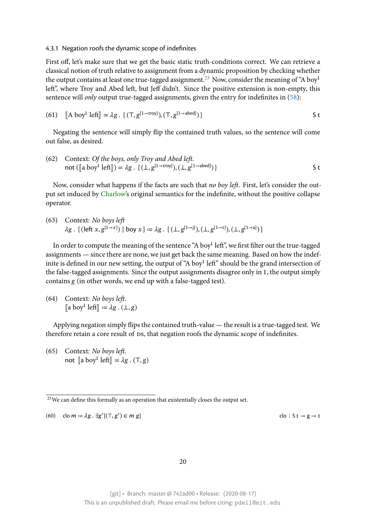#### 4.3.1 Negation roofs the dynamic scope of indefinites

First off, let's make sure that we get the basic static truth-conditions correct. We can retrieve a classical notion of truth relative to assignment from a dynamic proposition by checking whether the output contains at least one true-tagged assignment.<sup>23</sup> Now, consider the meaning of "A boy<sup>1</sup> left", where Troy and Abed left, but Jeff didn't. Since the positive extension is non-empty, this sentence will *only* output true-tagged assignments, given the entry for indefinites in (58):

(61) 
$$
[A boy1 left] = \lambda g \cdot \{ (T, g[1 \to \text{troy}]), (T, g[1 \to \text{abcd}]) \}
$$

Negating the sentence will simply flip the contained truth values, so the sentence [wi](#page-18-0)ll come out false, as desired.

(62) Context: *Of the boys, only Troy and Abed left.* not ([[a boy<sup>1</sup> left]]) =  $\lambda g$  . { ( $\perp$ ,  $g^{[1\rightarrow \text{troy}]}$ ), ( $\perp$ ,  $g^{[1\rightarrow \text{abcd}]}$ )  $}$  S t

Now, consider what happens if the facts are such that *no boy left*. First, let's consider the output set induced by Charlow's original semantics for the indefinite, without the positive collapse operator.

(63) Context: *No [boys left](#page-28-1)*  $\lambda g$  . { (left  $x, g^{[1 \to x]}$ ) | boy  $x$  } =  $\lambda g$  . { ( $\perp, g^{[1 \to j]}$ ), ( $\perp, g^{[1 \to t]}$ ), ( $\perp, g^{[1 \to a]}$ ) }

In order to compute the meaning of the sentence "A boy $^1$  left", we first filter out the true-tagged assignments — since there are none, we just get back the same meaning. Based on how the indefinite is defined in our new setting, the output of "A boy $^1$  left" should be the grand intersection of the false-tagged assignments. Since the output assignments disagree only in 1, the output simply contains g (in other words, we end up with a false-tagged test).

(64) Context: *No boys left.*  $[\![a\;boy^1\;left]\!] := \lambda g \cdot (\bot, g)$ 

Applying negation simply flips the contained truth-value — the result is a true-tagged test. We therefore retain a core result of Ds, that negation roofs the dynamic scope of indefinites.

(65) Context: *No boys left.* not  $[\![\mathrm{a} \mathrm{ boy}^1 \mathrm{ left}]\!] = \lambda \mathrm{g} \cdot (\top, \mathrm{g})$ 

(60) clo  $m = \lambda g \cdot \exists g'$ [(⊤,  $g'$ 

 $clo: S t \rightarrow g \rightarrow t$ 

20

<sup>&</sup>lt;sup>23</sup>We can define this formally as an operation that existentially closes the output set.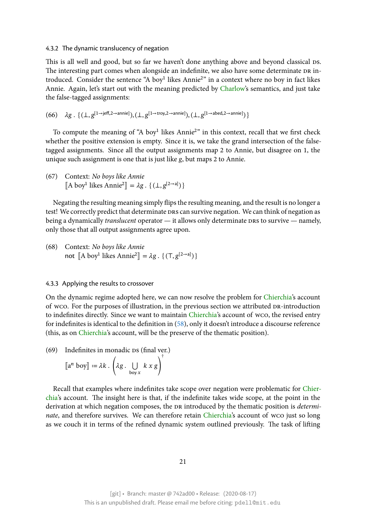#### 4.3.2 The dynamic translucency of negation

This is all well and good, but so far we haven't done anything above and beyond classical DS. The interesting part comes when alongside an indefinite, we also have some determinate DR introduced. Consider the sentence "A boy<sup>1</sup> likes Annie<sup>2</sup>" in a context where no boy in fact likes Annie. Again, let's start out with the meaning predicted by Charlow's semantics, and just take the false-tagged assignments:

 $(66)$  $(66)$   $\lambda g$  .  $\{(\bot, g^{[1\rightarrow{\text{jeff}},2\rightarrow{\text{annie}]}}), (\bot, g^{[1\rightarrow{\text{troy}},2\rightarrow{\text{annie}]}}), (\bot, g^{[1\rightarrow{\text{abed}},2\rightarrow{\text{annie}]}})\}$ 

To compute the meaning of "A boy<sup>1</sup> likes Annie<sup>2</sup>" in this context, recall that we first check whether the positive extension is empty. Since it is, we take the grand intersection of the falsetagged assignments. Since all the output assignments map 2 to Annie, but disagree on 1, the unique such assignment is one that is just like  $g$ , but maps 2 to Annie.

(67) Context: *No boys like Annie*  $[[A boy<sup>1</sup>]$  likes Annie<sup>2</sup> $]] = \lambda g \cdot \{ (\perp, g<sup>[2\to a]</sup>) \}$ 

Negating the resulting meaning simply flips the resulting meaning, and the result is no longer a test! We correctly predict that determinate DRS can survive negation. We can think of negation as being a dynamically *translucent* operator — it allows only determinate DRS to survive — namely, only those that all output assignments agree upon.

(68) Context: *No boys like Annie* not  $\llbracket A \text{ boy}^1 \text{ likes Annie}^2 \rrbracket = \lambda g \cdot \{ (\top, g^{[2 \to a]}) \}$ 

#### 4.3.3 Applying the results to crossover

On the dynamic regime adopted here, we can now resolve the problem for Chierchia's account of wco. For the purposes of illustration, in the previous section we attributed DR-introduction to indefinites directly. Since we want to maintain Chierchia's account of wco, the revised entry for indefinites is identical to the definition in (58), only it doesn't introducea [discourse](#page-28-0) reference (this, as on Chierchia's account, will be the preserve of the thematic position).

 $(69)$  Indefinites in monadic  $DS$  (final ver.)

$$
\llbracket a^n \text{ boy} \rrbracket := \lambda k \cdot \left(\lambda g \cdot \bigcup_{\text{boy } x} k x g\right)^{\dagger}
$$

Recall that examples where indefinites take scope over negation were problematic for Chierchia's account. The insight here is that, if the indefinite takes wide scope, at the point in the derivation at which negation composes, the DR introduced by the thematic position is *determinate*,and therefore survives. We can therefore retain *Chierchia's* account of wco just s[o long](#page-28-0) [as w](#page-28-0)e couch it in terms of the refined dynamic system outlined previously. The task of lifting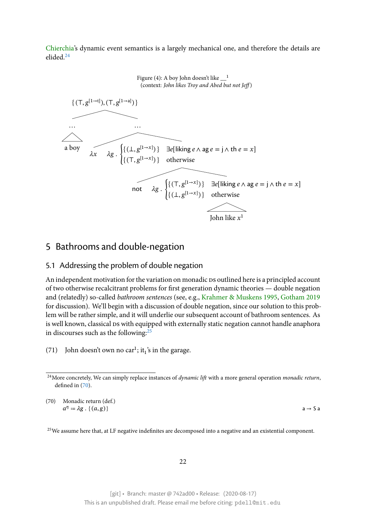Chierchia's dynamic event semantics is a largely mechanical one, and therefore the details are elided.<sup>24</sup>

> Figure (4): A boy John doesn't like  $\frac{1}{2}$ (context: *John likes Troy and Abed but not Jeff* )

![](_page_21_Figure_2.jpeg)

# 5 Bathrooms and double-negation

## 5.1 Addressing the problem of double negation

<span id="page-21-0"></span>An independent motivation for the variation on monadic ps outlined here is a principled account of two otherwise recalcitrant problems for first generation dynamic theories — double negation and (relatedly) so-called *bathroom sentences* (see, e.g., Krahmer & Muskens 1995, Gotham 2019 for discussion). We'll begin with a discussion of double negation, since our solution to this problem will be rather simple, and it will underlie our subsequent account of bathroom sentences. As is well known, classical Ds with equipped with external[ly static negation cannot ha](#page-28-5)[ndle anaphora](#page-28-6) in discourses such as the following: $^{25}$ 

(71) John doesn't own no car<sup>1</sup>; it<sub>1</sub>'s in the garage.

<sup>25</sup>We assume here that, at LF negative indefinites are decomposed into a negative and an existential component.

<sup>24</sup>More concretely, We can simply replace instances of *dynamic lift* with a more general operation *monadic return*, defined in (70).

<sup>(70)</sup> Monadic return (def.)  $a^{\eta} = \lambda g \cdot \{(a, g)\}$  and a set of a set of a set of a set of a set of a set of a set of a set of a set of a set of a set of a set of a set of a set of a set of a set of a set of a set of a set of a set of a set of a set o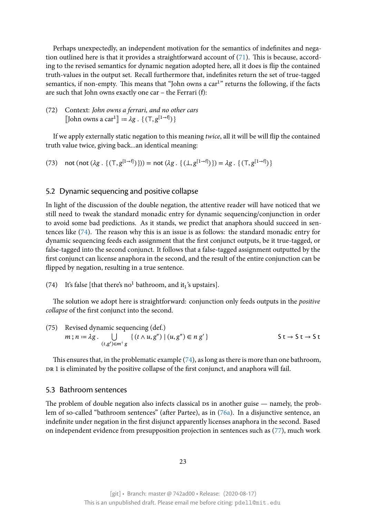Perhaps unexpectedly, an independent motivation for the semantics of indefinites and negation outlined here is that it provides a straightforward account of  $(71)$ . This is because, according to the revised semantics for dynamic negation adopted here, all it does is flip the contained truth-values in the output set. Recall furthermore that, indefinites return the set of true-tagged semantics, if non-empty. This means that "John owns a car<sup>1</sup>" retu[rns](#page-21-0) the following, if the facts are such that John owns exactly one car – the Ferrari (f):

# (72) Context: *John owns a ferrari, and no other cars* [John owns a car<sup>1</sup>]]  $:= \lambda g \cdot \{(\tau, g^{[1 \to f]})\}$

If we apply externally static negation to this meaning *twice*, all it will be will flip the contained truth value twice, giving back...an identical meaning:

(73) not (not  $(\lambda g \, . \, \{ (T, g^{[1 \to f]}) \}) = \text{not} \, (\lambda g \, . \, \{ (\bot, g^{[1 \to f]}) \}) = \lambda g \, . \, \{ (T, g^{[1 \to f]}) \}$ 

#### 5.2 Dynamic sequencing and positive collapse

<span id="page-22-0"></span>In light of the discussion of the double negation, the attentive reader will have noticed that we still need to tweak the standard monadic entry for dynamic sequencing/conjunction in order to avoid some bad predictions. As it stands, we predict that anaphora should succeed in sentences like (74). The reason why this is an issue is as follows: the standard monadic entry for dynamic sequencing feeds each assignment that the first conjunct outputs, be it true-tagged, or false-tagged into the second conjunct. It follows that a false-tagged assignment outputted by the first conjun[ct c](#page-22-0)an license anaphora in the second, and the result of the entire conjunction can be flipped by negation, resulting in a true sentence.

(74) It's false [that there's no<sup>1</sup> bathroom, and it<sub>1</sub>'s upstairs].

The solution we adopt here is straightforward: conjunction only feeds outputs in the *positive collapse* of the first conjunct into the second.

(75) Revised dynamic sequencing (def.)  
\n
$$
m; n := \lambda g \cdot \bigcup_{(t,g') \in m^{\dagger} g} \{(t \wedge u, g'') \mid (u, g'') \in n g'\}
$$
\n
$$
S \ t \to S \ t \to S \ t
$$

This ensures that, in the problematic example (74), as long as there is more than one bathroom, DR 1 is eliminated by the positive collapse of the first conjunct, and anaphora will fail.

#### 5.3 Bathroom sentences

<span id="page-22-1"></span>The problem of double negation also infects classical  $s$  in another guise — namely, the problem of so-called "bathroom sentences" (after Partee), as in (76a). In a disjunctive sentence, an indefinite under negation in the first disjunct apparently licenses anaphora in the second. Based on independent evidence from presupposition projection in sentences such as (77), much work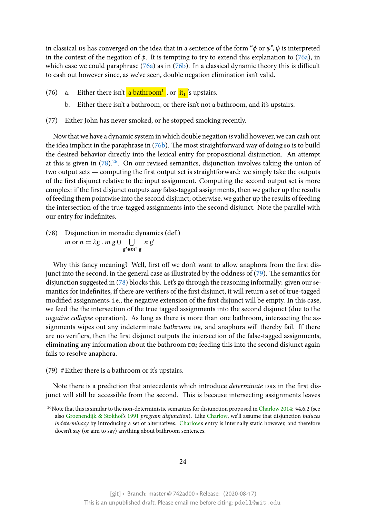in classical ps has converged on the idea that in a sentence of the form " $\phi$  or  $\psi$ ",  $\psi$  is interpreted in the context of the negation of  $\phi$ . It is tempting to try to extend this explanation to (76a), in which case we could paraphrase  $(76a)$  as in  $(76b)$ . In a classical dynamic theory this is difficult to cash out however since, as we've seen, double negation elimination isn't valid.

- (76) a. Either there isn't <mark>a bat[hroo](#page-22-1)m<sup>1</sup> ,</mark> or <mark>[it](#page-22-1)<sub>1</sub>'</mark>s upstairs.
	- b. Either there isn't a bathroom, or there isn't not a bathroom, and it's upstairs.
- (77) Either John has never smoked, or he stopped smoking recently.

Now that we have a dynamic system in which double negation *is* valid however, we can cash out the idea implicit in the paraphrase in (76b). The most straightforward way of doing so is to build the desired behavior directly into the lexical entry for propositional disjunction. An attempt at this is given in  $(78)^{26}$ . On our revised semantics, disjunction involves taking the union of two output sets — computing the firs[t out](#page-22-1)put set is straightforward: we simply take the outputs of the first disjunct relative to the input assignment. Computing the second output set is more complex: if the firs[t di](#page-22-1)s[jun](#page-23-0)ct outputs *any* false-tagged assignments, then we gather up the results of feeding them pointwise into the second disjunct; otherwise, we gather up the results of feeding the intersection of the true-tagged assignments into the second disjunct. Note the parallel with our entry for indefinites.

(78) Disjunction in monadic dynamics (def.)  $m$  or  $n = \lambda g \cdot m g \cup \bigcup n g'$  $g' \in m^{\ddagger} g$ 

Why this fancy meaning? Well, first off we don't want to allow anaphora from the first disjunct into the second, in the general case as illustrated by the oddness of (79). The semantics for disjunction suggested in (78) blocks this. Let's go through the reasoning informally: given our semantics for indefinites, if there are verifiers of the first disjunct, it will return a set of true-tagged modified assignments, i.e., the negative extension of the first disjunct will [be](#page-22-1) empty. In this case, we feed the the intersecti[on](#page-22-1) of the true tagged assignments into the second disjunct (due to the *negative collapse* operation). As long as there is more than one bathroom, intersecting the assignments wipes out any indeterminate *bathroom* DR, and anaphora will thereby fail. If there are no verifiers, then the first disjunct outputs the intersection of the false-tagged assignments, eliminating any information about the bathroom DR; feeding this into the second disjunct again fails to resolve anaphora.

(79) #Either there is a bathroom or it's upstairs.

Note there is a prediction that antecedents which introduce *determinate* DRS in the first disjunct will still be accessible from the second. This is because intersecting assignments leaves

<span id="page-23-0"></span><sup>&</sup>lt;sup>26</sup>Note that this is similar to the non-deterministic semantics for disjunction proposed in Charlow 2014: §4.6.2 (see also Groenendijk & Stokhof's 1991 *program disjunction*). Like Charlow, we'll assume that disjunction *induces indeterminacy* by introducing a set of alternatives. Charlow's entry is internally static however, and therefore doesn't say (or aim to say) anything about bathroom sentences.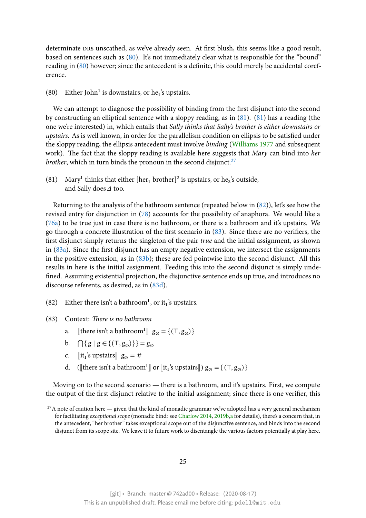determinate DRS unscathed, as we've already seen. At first blush, this seems like a good result, based on sentences such as (80). It's not immediately clear what is responsible for the "bound" reading in (80) however; since the antecedent is a definite, this could merely be accidental coreference.

(80) Eith[er J](#page-22-1)ohn<sup>1</sup> is downs[tair](#page-22-1)s, or he<sub>1</sub>'s upstairs.

We can attempt to diagnose the possibility of binding from the first disjunct into the second by constructing an elliptical sentence with a sloppy reading, as in (81). (81) has a reading (the one we're interested) in, which entails that *Sally thinks that Sally's brother is either downstairs or upstairs*. As is well known, in order for the parallelism condition on ellipsis to be satisfied under the sloppy reading, the ellipsis antecedent must involve *binding* (W[illia](#page-22-1)m[s 19](#page-22-1)77 and subsequent work). The fact that the sloppy reading is available here suggests that *Mary* can bind into *her brother*, which in turn binds the pronoun in the second disjunct.<sup>27</sup>

(81) Mary<sup>1</sup> thinks that either [her<sub>1</sub> brother]<sup>2</sup> is upstairs, or he<sub>2</sub>['s outside,](#page-29-0) and Sally does  $\Delta$  too.

Returning to the analysis of the bathroom sentence (repeated below in (82)), let's see how the revised entry for disjunction in (78) accounts for the possibility of anaphora. We would like a (76a) to be true just in case there is no bathroom, or there is a bathroom and it's upstairs. We go through a concrete illustration of the first scenario in (83). Since ther[e a](#page-22-1)re no verifiers, the first disjunct simply returns the [sing](#page-22-1)leton of the pair *true* and the initial assignment, as shown i[n \(8](#page-22-1)3a). Since the first disjunct has an empty negative extension, we intersect the assignments in the positive extension, as in (83b); these are fed pointw[ise](#page-22-1) into the second disjunct. All this results in here is the initial assignment. Feeding this into the second disjunct is simply undefin[ed. A](#page-22-1)ssuming existential projection, the disjunctive sentence ends up true, and introduces no discourse referents, as desired, a[s in](#page-22-1) (83d).

- (82) Either there isn't a bathroom<sup>1</sup>, or it<sub>1</sub>'s upstairs.
- (83) Context: *There is no bathroom*
	- a. [there isn't a bathroom<sup>1</sup>]  $g_{\emptyset} = \{ (\top, g_{\emptyset}) \}$
	- b.  $\bigcap \{ g \mid g \in \{ (\text{T}, g_{\alpha}) \} \} = g_{\alpha}$
	- c.  $\left[\begin{matrix} \text{it}_1^{\text{'s}} \text{upstairs} \end{matrix} \right]$   $g_{\emptyset} = \text{\#}$
	- d. ([there isn't a bathroom<sup>1</sup>]] or [it<sub>1</sub>'s upstairs])  $g_{\emptyset} = \{ (\top, g_{\emptyset}) \}$

Moving on to the second scenario — there is a bathroom, and it's upstairs. First, we compute the output of the first disjunct relative to the initial assignment; since there is one verifier, this

<sup>&</sup>lt;sup>27</sup>A note of caution here — given that the kind of monadic grammar we've adopted has a very general mechanism for facilitating *exceptional scope* (monadic bind: see Charlow 2014, 2019b,a for details), there's a concern that, in the antecedent, "her brother" takes exceptional scope out of the disjunctive sentence, and binds into the second disjunct from its scope site. We leave it to future work to disentangle the various factors potentially at play here.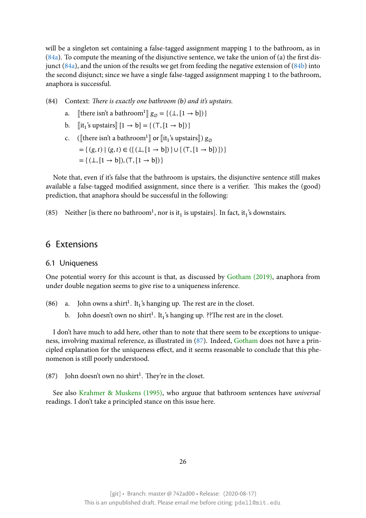will be a singleton set containing a false-tagged assignment mapping 1 to the bathroom, as in  $(84a)$ . To compute the meaning of the disjunctive sentence, we take the union of (a) the first disjunct (84a), and the union of the results we get from feeding the negative extension of (84b) into the second disjunct; since we have a single false-tagged assignment mapping 1 to the bathroom, [anap](#page-22-1)hora is successful.

(84) [Con](#page-22-1)text: *There is exactly one bathroom (b) and it's upstairs.*

- a. [there isn't a bathroom<sup>1</sup>]  $g_{\emptyset} = \{ (\bot, [1 \to b]) \}$
- b.  $[\![\text{it}_1\text{'s upstairs}]\!] [1 \rightarrow b] = \{ (\top, [1 \rightarrow b]) \}$
- c. ([there isn't a bathroom<sup>1</sup>]] or [it<sub>1</sub>'s upstairs])  $g_{\varnothing}$  $=\{(g, t) | (g, t) \in (\{(\perp, [1 \rightarrow b])\} \cup \{(\top, [1 \rightarrow b])\})\}\$  $= \{ (\perp, [1 \to b]), (\top, [1 \to b]) \}$

Note that, even if it's false that the bathroom is upstairs, the disjunctive sentence still makes available a false-tagged modified assignment, since there is a verifier. This makes the (good) prediction, that anaphora should be successful in the following:

(85) Neither [is there no bathroom<sup>1</sup>, nor is it<sub>1</sub> is upstairs]. In fact, it<sub>1</sub>'s downstairs.

## 6 Extensions

#### 6.1 Uniqueness

<span id="page-25-0"></span>One potential worry for this account is that, as discussed by Gotham (2019), anaphora from under double negation seems to give rise to a uniqueness inference.

- (86) a. John owns a shirt<sup>1</sup>. It<sub>1</sub>'s hanging up. The rest are in [the closet.](#page-28-6)
	- b. John doesn't own no shirt<sup>1</sup>. It<sub>1</sub>'s hanging up. ??The rest are in the closet.

I don't have much to add here, other than to note that there seem to be exceptions to uniqueness, involving maximal reference, as illustrated in (87). Indeed, Gotham does not have a principled explanation for the uniqueness effect, and it seems reasonable to conclude that this phenomenon is still poorly understood.

 $(87)$  John doesn't own no shirt<sup>1</sup>. They're in the clo[set.](#page-25-0)

See also Krahmer & Muskens (1995), who arguue that bathroom sentences have *universal* readings. I don't take a principled stance on this issue here.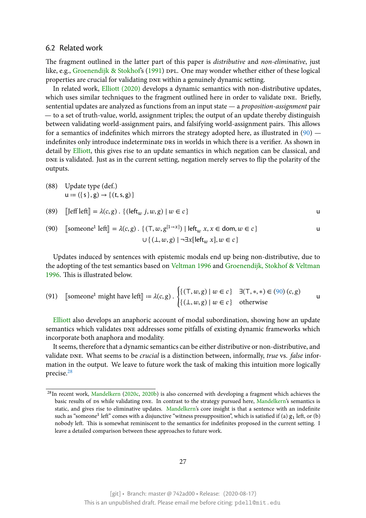#### 6.2 Related work

The fragment outlined in the latter part of this paper is *distributive* and *non-eliminative*, just like, e.g., Groenendijk & Stokhof's (1991) DPL. One may wonder whether either of these logical properties are crucial for validating DNE within a genuinely dynamic setting.

<span id="page-26-0"></span>In related work, Elliott (2020) develops a dynamic semantics with non-distributive updates, which us[es similar techniques to](#page-28-4) t[he fra](#page-28-4)gment outlined here in order to validate DNE. Briefly, sentential updates are analyzed as functions from an input state — a *proposition-assignment* pair — to a set of truth-[value, world, a](#page-28-12)ssignment triples; the output of an update thereby distinguish between validating world-assignment pairs, and falsifying world-assignment pairs. This allows for a semantics of indefinites which mirrors the strategy adopted here, as illustrated in  $(90)$  indefinites only introduce indeterminate DRS in worlds in which there is a verifier. As shown in detail by Elliott, this gives rise to an update semantics in which negation can be classical, and DNE is validated. Just as in the current setting, negation merely serves to flip the polarity [of](#page-26-0) the outputs.

(88) U[pdate ty](#page-28-12)pe (def.)  $u := (\{ s \}, g) \rightarrow \{ (t, s, g) \}$ 

(89) 
$$
[Jeff let I] = \lambda(c, g) . \{ (leftw j, w, g) | w \in c \}
$$

(90) 
$$
\text{[someone! left]} = \lambda(c, g) \cdot \{ (\mathsf{T}, w, g^{[1 \to x]}) \mid \mathsf{left}_w x, x \in \mathsf{dom}, w \in c \}
$$

Updates induced by sentences with epistemic modals end up being non-distributive, due to the adopting of the test semantics based on Veltman 1996 and Groenendijk, Stokhof & Veltman 1996. This is illustrated below.

(91) [someone<sup>1</sup> might have left] := 
$$
\lambda(c, g)
$$
. 
$$
\begin{cases} \{(\mathsf{T}, w, g) \mid w \in c\} & \exists (\mathsf{T}, *, *) \in (90) (c, g) \\ \{(\mathsf{L}, w, g) \mid w \in c\} & \text{otherwise} \end{cases}
$$

Elliott also develops an anaphoric account of modal subordination, showing [ho](#page-26-0)w an update semantics which validates DNE addresses some pitfalls of existing dynamic frameworks which incorporate both anaphora and modality.

[It seem](#page-28-12)s, therefore that a dynamic semantics can be either distributive or non-distributive, and validate dne. What seems to be *crucial* is a distinction between, informally, *true* vs. *false* information in the output. We leave to future work the task of making this intuition more logically precise.<sup>28</sup>

<span id="page-26-1"></span><sup>&</sup>lt;sup>28</sup>In recent work, Mandelkern (2020c, 2020b) is also concerned with developing a fragment which achieves the basic [re](#page-26-1)sults of  $p_s$  while validating  $p_s$ . In contrast to the strategy pursued here, Mandelkern's semantics is static, and gives rise to eliminative updates. Mandelkern's core insight is that a sentence with an indefinite such as "someone $^1$  left" comes with a disjunctive "witness presupposition", which is satisfied if (a)  $g_1$  left, or (b) nobody left. [This is somew](#page-28-14)h[at rem](#page-28-14)i[niscen](#page-28-15)t to the semantics for indefinites proposed in the current setting. I leave a detailed comparison between these approaches to future work.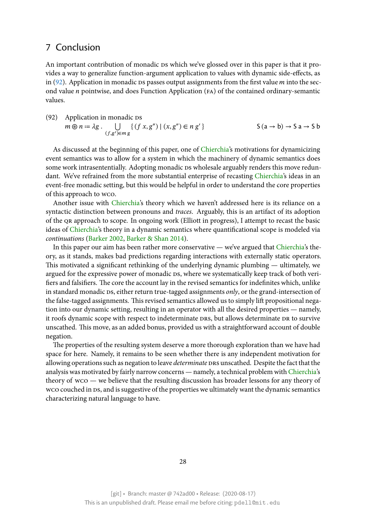# 7 Conclusion

<span id="page-27-0"></span>An important contribution of monadic ps which we've glossed over in this paper is that it provides a way to generalize function-argument application to values with dynamic side-effects, as in (92). Application in monadic  $s$  passes output assignments from the first value  $m$  into the second value *n* pointwise, and does Function Application (FA) of the contained ordinary-semantic values.

(92) Application in monadic ps  
\n
$$
m \circledast n := \lambda g \cdot \bigcup_{(f,g') \in mg} \{(f x, g'') \mid (x, g'') \in n g'\}
$$
  
\n $S(a \to b) \to S a \to S b$ 

As discussed at the beginning of this paper, one of Chierchia's motivations for dynamicizing event semantics was to allow for a system in which the machinery of dynamic semantics does some work intrasententially. Adopting monadic ps wholesale arguably renders this move redundant. We've refrained from the more substantial ente[rprise of r](#page-28-0)ecasting Chierchia's ideas in an event-free monadic setting, but this would be helpful in order to understand the core properties of this approach to wco.

Another issue with Chierchia's theory which we haven't addressed [here is its r](#page-28-0)eliance on a syntactic distinction between pronouns and *traces*. Arguably, this is an artifact of its adoption of the qr approach to scope. In ongoing work (Elliott in progress), I attempt to recast the basic ideas of Chierchia's th[eory in a d](#page-28-0)ynamic semantics where quantificational scope is modeled via *continuations* (Barker 2002, Barker & Shan 2014).

In this paper our aim has been rather more conservative — we've argued that Chierchia's theory, asi[t stands, m](#page-28-0)akes bad predictions regarding interactions with externally static operators. This motivate[d a significan](#page-28-16)t [rethinking of the u](#page-28-17)nderlying dynamic plumbing — ultimately, we argued for the expressive power of monadic DS, where we systematically keep tr[ack of both](#page-28-0) verifiers and falsifiers. The core the account lay in the revised semantics for indefinites which, unlike in standard monadic Ds, either return true-tagged assignments *only*, or the grand-intersection of the false-tagged assignments. This revised semantics allowed us to simply lift propositional negation into our dynamic setting, resulting in an operator with all the desired properties — namely, it roofs dynamic scope with respect to indeterminate DRS, but allows determinate DR to survive unscathed. This move, as an added bonus, provided us with a straightforward account of double negation.

The properties of the resulting system deserve a more thorough exploration than we have had space for here. Namely, it remains to be seen whether there is any independent motivation for allowing operations such as negation to leave *determinate* DRS unscathed. Despite the fact that the analysis was motivated by fairly narrow concerns — namely, a technical problem with Chierchia's theory of wco — we believe that the resulting discussion has broader lessons for any theory of wco couched in Ds, and is suggestive of the properties we ultimately want the dynamic semantics characterizing natural language to have.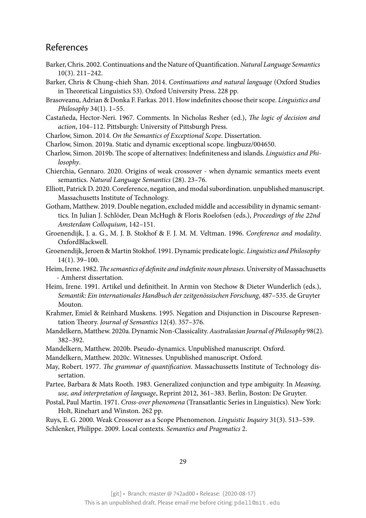# References

- <span id="page-28-16"></span>Barker, Chris. 2002. Continuations and the Nature of Quantification. *Natural Language Semantics* 10(3). 211–242.
- <span id="page-28-17"></span>Barker, Chris & Chung-chieh Shan. 2014. *Continuations and natural language* (Oxford Studies in Theoretical Linguistics 53). Oxford University Press. 228 pp.
- Brasoveanu, Adrian & Donka F. Farkas. 2011. How indefinites choose their scope. *Linguistics and Philosophy* 34(1). 1–55.
- <span id="page-28-10"></span>Castañeda, Hector-Neri. 1967. Comments. In Nicholas Resher (ed.), *The logic of decision and action*, 104–112. Pittsburgh: University of Pittsburgh Press.
- <span id="page-28-1"></span>Charlow, Simon. 2014. *On the Semantics of Exceptional Scope*. Dissertation.
- <span id="page-28-2"></span>Charlow, Simon. 2019a. Static and dynamic exceptional scope. lingbuzz/004650.
- Charlow, Simon. 2019b. The scope of alternatives: Indefiniteness and islands. *Linguistics and Philosophy*.
- <span id="page-28-0"></span>Chierchia, Gennaro. 2020. Origins of weak crossover - when dynamic semantics meets event semantics. *Natural Language Semantics* (28). 23–76.
- <span id="page-28-12"></span>Elliott, Patrick D. 2020. Coreference, negation, and modal subordination. unpublished manuscript. Massachusetts Institute of Technology.
- <span id="page-28-6"></span>Gotham, Matthew. 2019. Double negation, excluded middle and accessibility in dynamic semanttics. In Julian J. Schlöder, Dean McHugh & Floris Roelofsen (eds.), *Proceedings of the 22nd Amsterdam Colloquium*, 142–151.
- <span id="page-28-13"></span>Groenendijk, J. a. G., M. J. B. Stokhof & F. J. M. M. Veltman. 1996. *Coreference and modality*. OxfordBlackwell.
- <span id="page-28-4"></span>Groenendijk, Jeroen & Martin Stokhof. 1991. Dynamic predicate logic. *Linguistics and Philosophy* 14(1). 39–100.
- <span id="page-28-3"></span>Heim, Irene. 1982.*The semantics of definite and indefinite noun phrases*. University of Massachusetts - Amherst dissertation.
- <span id="page-28-9"></span>Heim, Irene. 1991. Artikel und definitheit. In Armin von Stechow & Dieter Wunderlich (eds.), *Semantik: Ein internationales Handbuch der zeitgenössischen Forschung*, 487–535. de Gruyter Mouton.
- <span id="page-28-5"></span>Krahmer, Emiel & Reinhard Muskens. 1995. Negation and Disjunction in Discourse Representation Theory. *Journal of Semantics* 12(4). 357–376.
- Mandelkern, Matthew. 2020a. Dynamic Non-Classicality.*Australasian Journal of Philosophy* 98(2). 382–392.
- <span id="page-28-15"></span>Mandelkern, Matthew. 2020b. Pseudo-dynamics. Unpublished manuscript. Oxford.
- <span id="page-28-14"></span>Mandelkern, Matthew. 2020c. Witnesses. Unpublished manuscript. Oxford.
- <span id="page-28-8"></span>May, Robert. 1977. *The grammar of quantification*. Massachussetts Institute of Technology dissertation.
- <span id="page-28-11"></span>Partee, Barbara & Mats Rooth. 1983. Generalized conjunction and type ambiguity. In *Meaning, use, and interpretation of language*, Reprint 2012, 361–383. Berlin, Boston: De Gruyter.
- <span id="page-28-7"></span>Postal, Paul Martin. 1971. *Cross-over phenomena* (Transatlantic Series in Linguistics). New York: Holt, Rinehart and Winston. 262 pp.

Ruys, E. G. 2000. Weak Crossover as a Scope Phenomenon. *Linguistic Inquiry* 31(3). 513–539. Schlenker, Philippe. 2009. Local contexts. *Semantics and Pragmatics* 2.